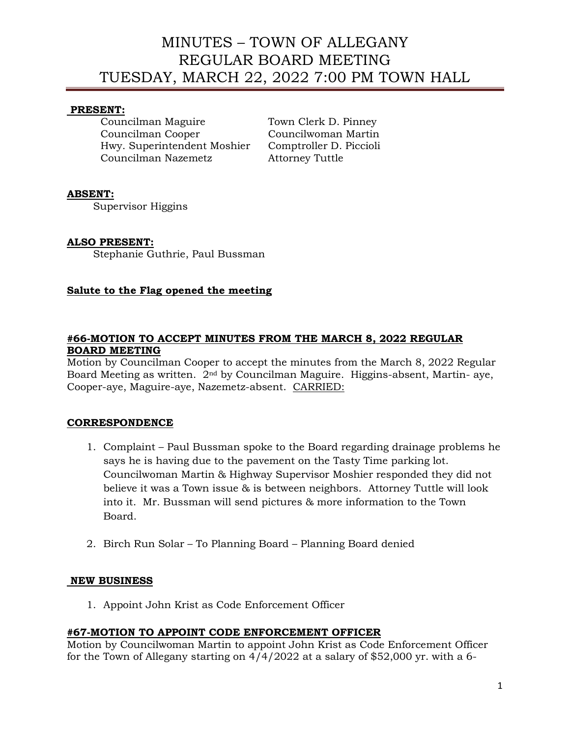# MINUTES – TOWN OF ALLEGANY REGULAR BOARD MEETING TUESDAY, MARCH 22, 2022 7:00 PM TOWN HALL

### **PRESENT:**

Councilman Maguire Town Clerk D. Pinney Councilman Cooper Councilwoman Martin Hwy. Superintendent Moshier Comptroller D. Piccioli Councilman Nazemetz Attorney Tuttle

### **ABSENT:**

Supervisor Higgins

### **ALSO PRESENT:**

Stephanie Guthrie, Paul Bussman

# **Salute to the Flag opened the meeting**

### **#66-MOTION TO ACCEPT MINUTES FROM THE MARCH 8, 2022 REGULAR BOARD MEETING**

Motion by Councilman Cooper to accept the minutes from the March 8, 2022 Regular Board Meeting as written. 2nd by Councilman Maguire. Higgins-absent, Martin- aye, Cooper-aye, Maguire-aye, Nazemetz-absent. CARRIED:

# **CORRESPONDENCE**

- 1. Complaint Paul Bussman spoke to the Board regarding drainage problems he says he is having due to the pavement on the Tasty Time parking lot. Councilwoman Martin & Highway Supervisor Moshier responded they did not believe it was a Town issue & is between neighbors. Attorney Tuttle will look into it. Mr. Bussman will send pictures & more information to the Town Board.
- 2. Birch Run Solar To Planning Board Planning Board denied

### **NEW BUSINESS**

1. Appoint John Krist as Code Enforcement Officer

# **#67-MOTION TO APPOINT CODE ENFORCEMENT OFFICER**

Motion by Councilwoman Martin to appoint John Krist as Code Enforcement Officer for the Town of Allegany starting on  $4/4/2022$  at a salary of \$52,000 yr. with a 6-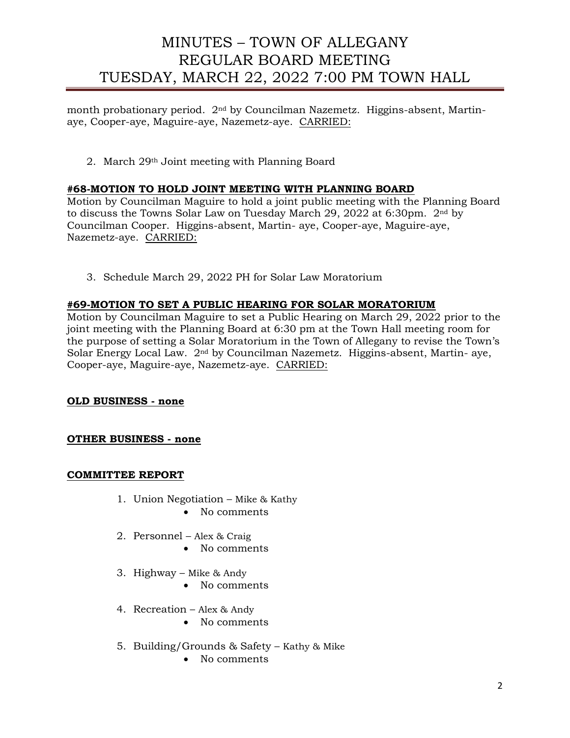# MINUTES – TOWN OF ALLEGANY REGULAR BOARD MEETING TUESDAY, MARCH 22, 2022 7:00 PM TOWN HALL

month probationary period. 2nd by Councilman Nazemetz. Higgins-absent, Martinaye, Cooper-aye, Maguire-aye, Nazemetz-aye. CARRIED:

2. March 29th Joint meeting with Planning Board

### **#68-MOTION TO HOLD JOINT MEETING WITH PLANNING BOARD**

Motion by Councilman Maguire to hold a joint public meeting with the Planning Board to discuss the Towns Solar Law on Tuesday March 29, 2022 at 6:30pm. 2nd by Councilman Cooper. Higgins-absent, Martin- aye, Cooper-aye, Maguire-aye, Nazemetz-aye. CARRIED:

3. Schedule March 29, 2022 PH for Solar Law Moratorium

### **#69-MOTION TO SET A PUBLIC HEARING FOR SOLAR MORATORIUM**

Motion by Councilman Maguire to set a Public Hearing on March 29, 2022 prior to the joint meeting with the Planning Board at 6:30 pm at the Town Hall meeting room for the purpose of setting a Solar Moratorium in the Town of Allegany to revise the Town's Solar Energy Local Law. 2nd by Councilman Nazemetz. Higgins-absent, Martin- aye, Cooper-aye, Maguire-aye, Nazemetz-aye. CARRIED:

**OLD BUSINESS - none**

**OTHER BUSINESS - none**

#### **COMMITTEE REPORT**

- 1. Union Negotiation Mike & Kathy
	- No comments
- 2. Personnel Alex & Craig
	- No comments
- 3. Highway Mike & Andy
	- No comments
- 4. Recreation Alex & Andy
	- No comments
- 5. Building/Grounds & Safety Kathy & Mike
	- No comments